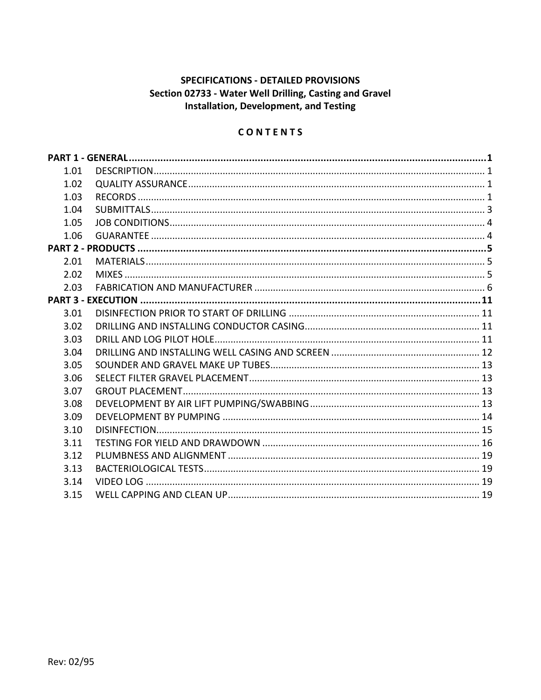## **SPECIFICATIONS - DETAILED PROVISIONS** Section 02733 - Water Well Drilling, Casting and Gravel Installation, Development, and Testing

# CONTENTS

| 1.01 |  |
|------|--|
| 1.02 |  |
| 1.03 |  |
| 1.04 |  |
| 1.05 |  |
| 1.06 |  |
|      |  |
| 2.01 |  |
| 2.02 |  |
| 2.03 |  |
|      |  |
| 3.01 |  |
| 3.02 |  |
| 3.03 |  |
| 3.04 |  |
| 3.05 |  |
| 3.06 |  |
| 3.07 |  |
| 3.08 |  |
| 3.09 |  |
| 3.10 |  |
| 3.11 |  |
| 3.12 |  |
| 3.13 |  |
| 3.14 |  |
| 3.15 |  |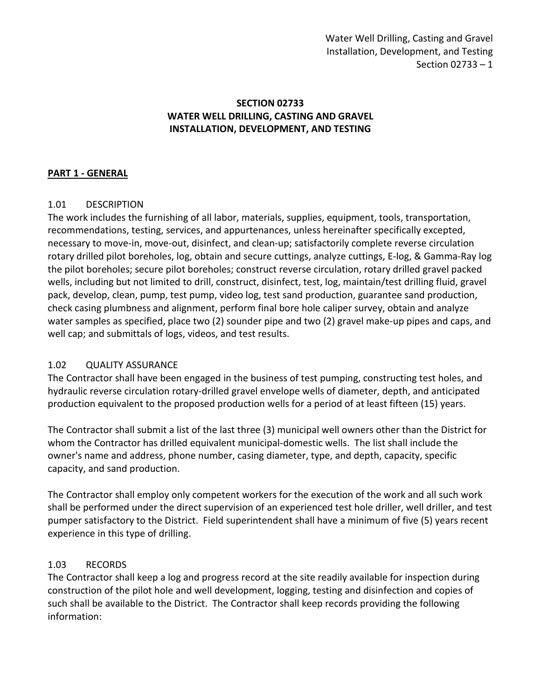#### **SECTION 02733 WATER WELL DRILLING, CASTING AND GRAVEL INSTALLATION, DEVELOPMENT, AND TESTING**

#### <span id="page-2-0"></span>**PART 1 - GENERAL**

## <span id="page-2-1"></span>1.01 DESCRIPTION

The work includes the furnishing of all labor, materials, supplies, equipment, tools, transportation, recommendations, testing, services, and appurtenances, unless hereinafter specifically excepted, necessary to move-in, move-out, disinfect, and clean-up; satisfactorily complete reverse circulation rotary drilled pilot boreholes, log, obtain and secure cuttings, analyze cuttings, E-log, & Gamma-Ray log the pilot boreholes; secure pilot boreholes; construct reverse circulation, rotary drilled gravel packed wells, including but not limited to drill, construct, disinfect, test, log, maintain/test drilling fluid, gravel pack, develop, clean, pump, test pump, video log, test sand production, guarantee sand production, check casing plumbness and alignment, perform final bore hole caliper survey, obtain and analyze water samples as specified, place two (2) sounder pipe and two (2) gravel make-up pipes and caps, and well cap; and submittals of logs, videos, and test results.

## <span id="page-2-2"></span>1.02 QUALITY ASSURANCE

The Contractor shall have been engaged in the business of test pumping, constructing test holes, and hydraulic reverse circulation rotary-drilled gravel envelope wells of diameter, depth, and anticipated production equivalent to the proposed production wells for a period of at least fifteen (15) years.

The Contractor shall submit a list of the last three (3) municipal well owners other than the District for whom the Contractor has drilled equivalent municipal-domestic wells. The list shall include the owner's name and address, phone number, casing diameter, type, and depth, capacity, specific capacity, and sand production.

The Contractor shall employ only competent workers for the execution of the work and all such work shall be performed under the direct supervision of an experienced test hole driller, well driller, and test pumper satisfactory to the District. Field superintendent shall have a minimum of five (5) years recent experience in this type of drilling.

## <span id="page-2-3"></span>1.03 RECORDS

The Contractor shall keep a log and progress record at the site readily available for inspection during construction of the pilot hole and well development, logging, testing and disinfection and copies of such shall be available to the District. The Contractor shall keep records providing the following information: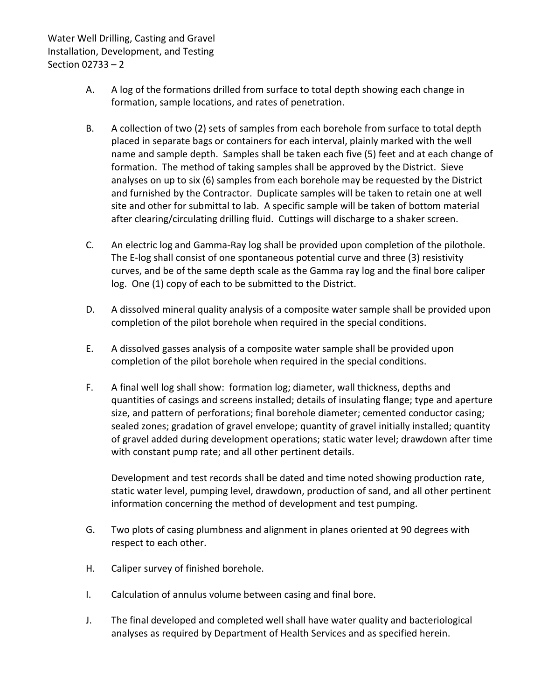- A. A log of the formations drilled from surface to total depth showing each change in formation, sample locations, and rates of penetration.
- B. A collection of two (2) sets of samples from each borehole from surface to total depth placed in separate bags or containers for each interval, plainly marked with the well name and sample depth. Samples shall be taken each five (5) feet and at each change of formation. The method of taking samples shall be approved by the District. Sieve analyses on up to six (6) samples from each borehole may be requested by the District and furnished by the Contractor. Duplicate samples will be taken to retain one at well site and other for submittal to lab. A specific sample will be taken of bottom material after clearing/circulating drilling fluid. Cuttings will discharge to a shaker screen.
- C. An electric log and Gamma-Ray log shall be provided upon completion of the pilothole. The E-log shall consist of one spontaneous potential curve and three (3) resistivity curves, and be of the same depth scale as the Gamma ray log and the final bore caliper log. One (1) copy of each to be submitted to the District.
- D. A dissolved mineral quality analysis of a composite water sample shall be provided upon completion of the pilot borehole when required in the special conditions.
- E. A dissolved gasses analysis of a composite water sample shall be provided upon completion of the pilot borehole when required in the special conditions.
- F. A final well log shall show: formation log; diameter, wall thickness, depths and quantities of casings and screens installed; details of insulating flange; type and aperture size, and pattern of perforations; final borehole diameter; cemented conductor casing; sealed zones; gradation of gravel envelope; quantity of gravel initially installed; quantity of gravel added during development operations; static water level; drawdown after time with constant pump rate; and all other pertinent details.

Development and test records shall be dated and time noted showing production rate, static water level, pumping level, drawdown, production of sand, and all other pertinent information concerning the method of development and test pumping.

- G. Two plots of casing plumbness and alignment in planes oriented at 90 degrees with respect to each other.
- H. Caliper survey of finished borehole.
- I. Calculation of annulus volume between casing and final bore.
- J. The final developed and completed well shall have water quality and bacteriological analyses as required by Department of Health Services and as specified herein.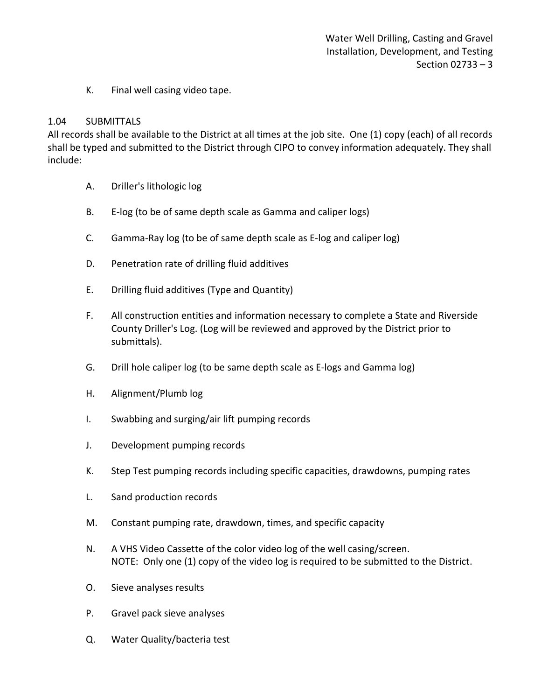K. Final well casing video tape.

#### <span id="page-4-0"></span>1.04 SUBMITTALS

All records shall be available to the District at all times at the job site. One (1) copy (each) of all records shall be typed and submitted to the District through CIPO to convey information adequately. They shall include:

- A. Driller's lithologic log
- B. E-log (to be of same depth scale as Gamma and caliper logs)
- C. Gamma-Ray log (to be of same depth scale as E-log and caliper log)
- D. Penetration rate of drilling fluid additives
- E. Drilling fluid additives (Type and Quantity)
- F. All construction entities and information necessary to complete a State and Riverside County Driller's Log. (Log will be reviewed and approved by the District prior to submittals).
- G. Drill hole caliper log (to be same depth scale as E-logs and Gamma log)
- H. Alignment/Plumb log
- I. Swabbing and surging/air lift pumping records
- J. Development pumping records
- K. Step Test pumping records including specific capacities, drawdowns, pumping rates
- L. Sand production records
- M. Constant pumping rate, drawdown, times, and specific capacity
- N. A VHS Video Cassette of the color video log of the well casing/screen. NOTE: Only one (1) copy of the video log is required to be submitted to the District.
- O. Sieve analyses results
- P. Gravel pack sieve analyses
- Q. Water Quality/bacteria test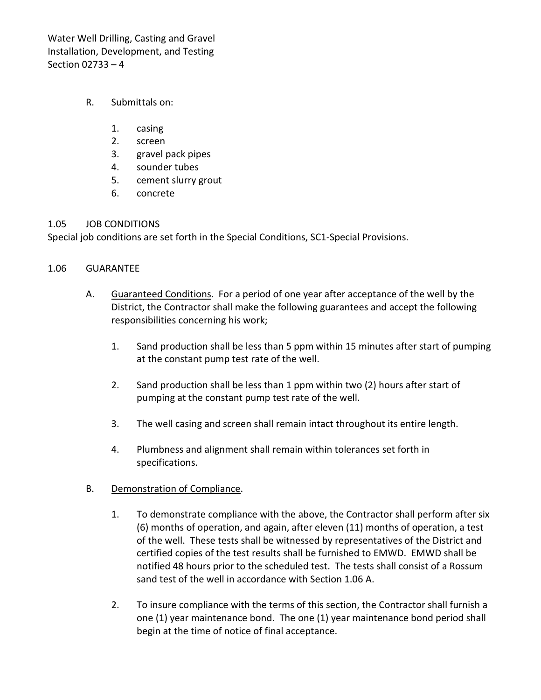- R. Submittals on:
	- 1. casing
	- 2. screen
	- 3. gravel pack pipes
	- 4. sounder tubes
	- 5. cement slurry grout
	- 6. concrete

#### <span id="page-5-0"></span>1.05 JOB CONDITIONS

Special job conditions are set forth in the Special Conditions, SC1-Special Provisions.

#### <span id="page-5-1"></span>1.06 GUARANTEE

- A. Guaranteed Conditions. For a period of one year after acceptance of the well by the District, the Contractor shall make the following guarantees and accept the following responsibilities concerning his work;
	- 1. Sand production shall be less than 5 ppm within 15 minutes after start of pumping at the constant pump test rate of the well.
	- 2. Sand production shall be less than 1 ppm within two (2) hours after start of pumping at the constant pump test rate of the well.
	- 3. The well casing and screen shall remain intact throughout its entire length.
	- 4. Plumbness and alignment shall remain within tolerances set forth in specifications.

## B. Demonstration of Compliance.

- 1. To demonstrate compliance with the above, the Contractor shall perform after six (6) months of operation, and again, after eleven (11) months of operation, a test of the well. These tests shall be witnessed by representatives of the District and certified copies of the test results shall be furnished to EMWD. EMWD shall be notified 48 hours prior to the scheduled test. The tests shall consist of a Rossum sand test of the well in accordance with Section 1.06 A.
- 2. To insure compliance with the terms of this section, the Contractor shall furnish a one (1) year maintenance bond. The one (1) year maintenance bond period shall begin at the time of notice of final acceptance.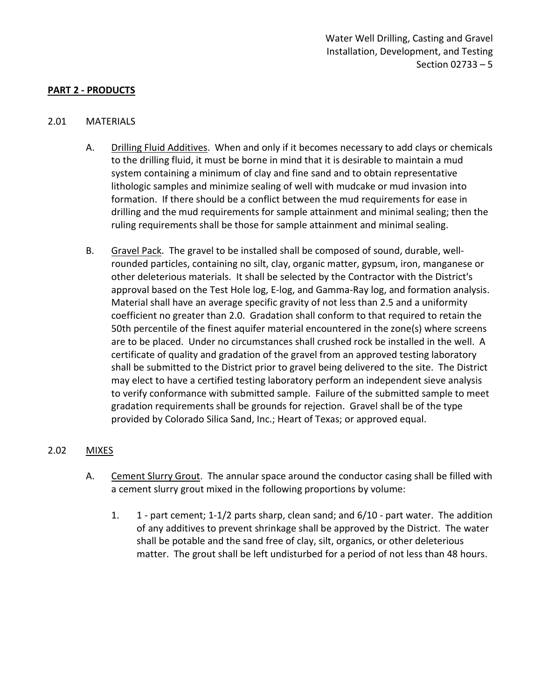#### <span id="page-6-0"></span>**PART 2 - PRODUCTS**

#### <span id="page-6-1"></span>2.01 MATERIALS

- A. Drilling Fluid Additives. When and only if it becomes necessary to add clays or chemicals to the drilling fluid, it must be borne in mind that it is desirable to maintain a mud system containing a minimum of clay and fine sand and to obtain representative lithologic samples and minimize sealing of well with mudcake or mud invasion into formation. If there should be a conflict between the mud requirements for ease in drilling and the mud requirements for sample attainment and minimal sealing; then the ruling requirements shall be those for sample attainment and minimal sealing.
- B. Gravel Pack. The gravel to be installed shall be composed of sound, durable, wellrounded particles, containing no silt, clay, organic matter, gypsum, iron, manganese or other deleterious materials. It shall be selected by the Contractor with the District's approval based on the Test Hole log, E-log, and Gamma-Ray log, and formation analysis. Material shall have an average specific gravity of not less than 2.5 and a uniformity coefficient no greater than 2.0. Gradation shall conform to that required to retain the 50th percentile of the finest aquifer material encountered in the zone(s) where screens are to be placed. Under no circumstances shall crushed rock be installed in the well. A certificate of quality and gradation of the gravel from an approved testing laboratory shall be submitted to the District prior to gravel being delivered to the site. The District may elect to have a certified testing laboratory perform an independent sieve analysis to verify conformance with submitted sample. Failure of the submitted sample to meet gradation requirements shall be grounds for rejection. Gravel shall be of the type provided by Colorado Silica Sand, Inc.; Heart of Texas; or approved equal.

#### <span id="page-6-2"></span>2.02 MIXES

- A. Cement Slurry Grout. The annular space around the conductor casing shall be filled with a cement slurry grout mixed in the following proportions by volume:
	- 1. 1 part cement; 1-1/2 parts sharp, clean sand; and 6/10 part water. The addition of any additives to prevent shrinkage shall be approved by the District. The water shall be potable and the sand free of clay, silt, organics, or other deleterious matter. The grout shall be left undisturbed for a period of not less than 48 hours.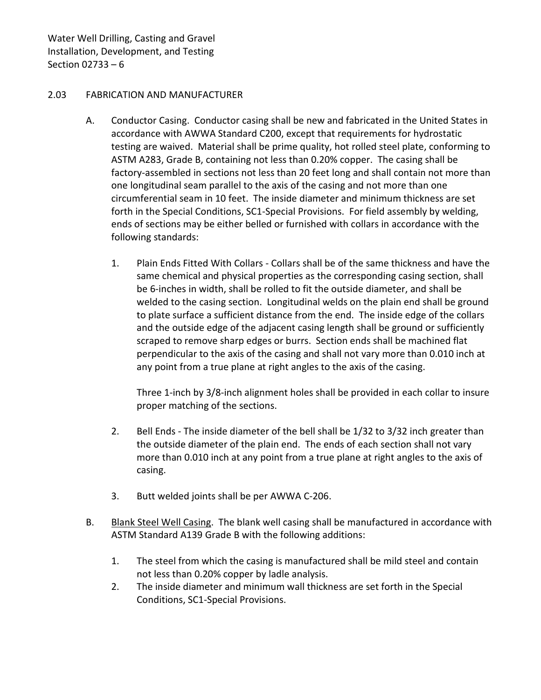#### <span id="page-7-0"></span>2.03 FABRICATION AND MANUFACTURER

- A. Conductor Casing. Conductor casing shall be new and fabricated in the United States in accordance with AWWA Standard C200, except that requirements for hydrostatic testing are waived. Material shall be prime quality, hot rolled steel plate, conforming to ASTM A283, Grade B, containing not less than 0.20% copper. The casing shall be factory-assembled in sections not less than 20 feet long and shall contain not more than one longitudinal seam parallel to the axis of the casing and not more than one circumferential seam in 10 feet. The inside diameter and minimum thickness are set forth in the Special Conditions, SC1-Special Provisions. For field assembly by welding, ends of sections may be either belled or furnished with collars in accordance with the following standards:
	- 1. Plain Ends Fitted With Collars Collars shall be of the same thickness and have the same chemical and physical properties as the corresponding casing section, shall be 6-inches in width, shall be rolled to fit the outside diameter, and shall be welded to the casing section. Longitudinal welds on the plain end shall be ground to plate surface a sufficient distance from the end. The inside edge of the collars and the outside edge of the adjacent casing length shall be ground or sufficiently scraped to remove sharp edges or burrs. Section ends shall be machined flat perpendicular to the axis of the casing and shall not vary more than 0.010 inch at any point from a true plane at right angles to the axis of the casing.

Three 1-inch by 3/8-inch alignment holes shall be provided in each collar to insure proper matching of the sections.

- 2. Bell Ends The inside diameter of the bell shall be 1/32 to 3/32 inch greater than the outside diameter of the plain end. The ends of each section shall not vary more than 0.010 inch at any point from a true plane at right angles to the axis of casing.
- 3. Butt welded joints shall be per AWWA C-206.
- B. Blank Steel Well Casing. The blank well casing shall be manufactured in accordance with ASTM Standard A139 Grade B with the following additions:
	- 1. The steel from which the casing is manufactured shall be mild steel and contain not less than 0.20% copper by ladle analysis.
	- 2. The inside diameter and minimum wall thickness are set forth in the Special Conditions, SC1-Special Provisions.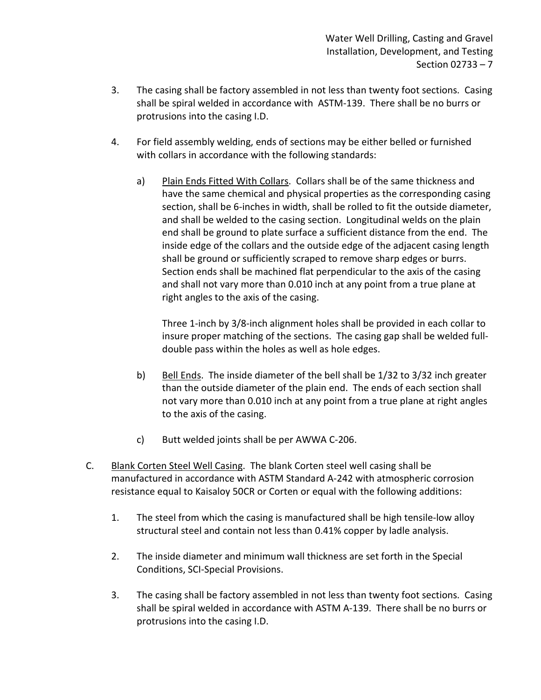- 3. The casing shall be factory assembled in not less than twenty foot sections. Casing shall be spiral welded in accordance with ASTM-139. There shall be no burrs or protrusions into the casing I.D.
- 4. For field assembly welding, ends of sections may be either belled or furnished with collars in accordance with the following standards:
	- a) Plain Ends Fitted With Collars. Collars shall be of the same thickness and have the same chemical and physical properties as the corresponding casing section, shall be 6-inches in width, shall be rolled to fit the outside diameter, and shall be welded to the casing section. Longitudinal welds on the plain end shall be ground to plate surface a sufficient distance from the end. The inside edge of the collars and the outside edge of the adjacent casing length shall be ground or sufficiently scraped to remove sharp edges or burrs. Section ends shall be machined flat perpendicular to the axis of the casing and shall not vary more than 0.010 inch at any point from a true plane at right angles to the axis of the casing.

Three 1-inch by 3/8-inch alignment holes shall be provided in each collar to insure proper matching of the sections. The casing gap shall be welded fulldouble pass within the holes as well as hole edges.

- b) Bell Ends. The inside diameter of the bell shall be 1/32 to 3/32 inch greater than the outside diameter of the plain end. The ends of each section shall not vary more than 0.010 inch at any point from a true plane at right angles to the axis of the casing.
- c) Butt welded joints shall be per AWWA C-206.
- C. Blank Corten Steel Well Casing. The blank Corten steel well casing shall be manufactured in accordance with ASTM Standard A-242 with atmospheric corrosion resistance equal to Kaisaloy 50CR or Corten or equal with the following additions:
	- 1. The steel from which the casing is manufactured shall be high tensile-low alloy structural steel and contain not less than 0.41% copper by ladle analysis.
	- 2. The inside diameter and minimum wall thickness are set forth in the Special Conditions, SCI-Special Provisions.
	- 3. The casing shall be factory assembled in not less than twenty foot sections. Casing shall be spiral welded in accordance with ASTM A-139. There shall be no burrs or protrusions into the casing I.D.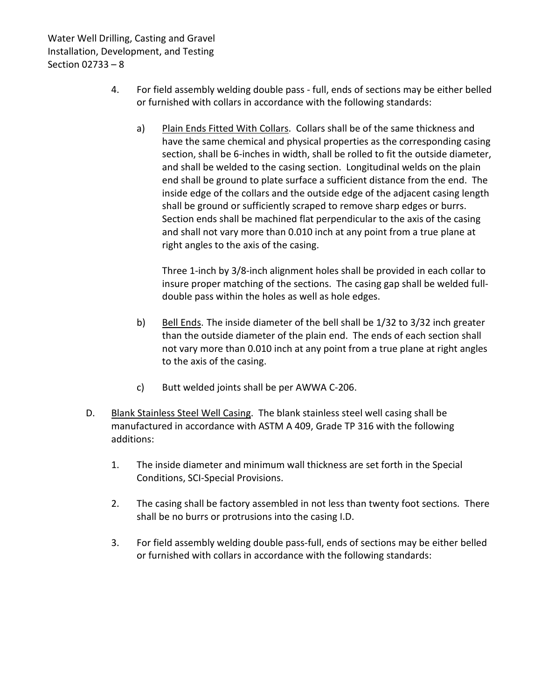- 4. For field assembly welding double pass full, ends of sections may be either belled or furnished with collars in accordance with the following standards:
	- a) Plain Ends Fitted With Collars. Collars shall be of the same thickness and have the same chemical and physical properties as the corresponding casing section, shall be 6-inches in width, shall be rolled to fit the outside diameter, and shall be welded to the casing section. Longitudinal welds on the plain end shall be ground to plate surface a sufficient distance from the end. The inside edge of the collars and the outside edge of the adjacent casing length shall be ground or sufficiently scraped to remove sharp edges or burrs. Section ends shall be machined flat perpendicular to the axis of the casing and shall not vary more than 0.010 inch at any point from a true plane at right angles to the axis of the casing.

Three 1-inch by 3/8-inch alignment holes shall be provided in each collar to insure proper matching of the sections. The casing gap shall be welded fulldouble pass within the holes as well as hole edges.

- b) Bell Ends. The inside diameter of the bell shall be 1/32 to 3/32 inch greater than the outside diameter of the plain end. The ends of each section shall not vary more than 0.010 inch at any point from a true plane at right angles to the axis of the casing.
- c) Butt welded joints shall be per AWWA C-206.
- D. Blank Stainless Steel Well Casing. The blank stainless steel well casing shall be manufactured in accordance with ASTM A 409, Grade TP 316 with the following additions:
	- 1. The inside diameter and minimum wall thickness are set forth in the Special Conditions, SCI-Special Provisions.
	- 2. The casing shall be factory assembled in not less than twenty foot sections. There shall be no burrs or protrusions into the casing I.D.
	- 3. For field assembly welding double pass-full, ends of sections may be either belled or furnished with collars in accordance with the following standards: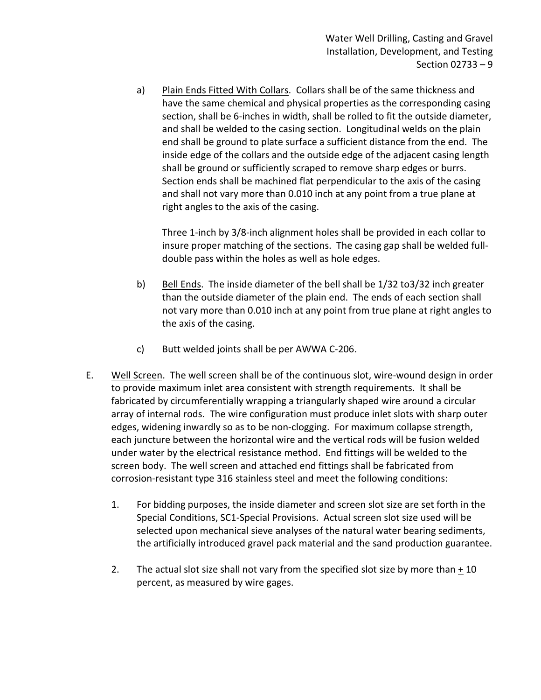a) Plain Ends Fitted With Collars. Collars shall be of the same thickness and have the same chemical and physical properties as the corresponding casing section, shall be 6-inches in width, shall be rolled to fit the outside diameter, and shall be welded to the casing section. Longitudinal welds on the plain end shall be ground to plate surface a sufficient distance from the end. The inside edge of the collars and the outside edge of the adjacent casing length shall be ground or sufficiently scraped to remove sharp edges or burrs. Section ends shall be machined flat perpendicular to the axis of the casing and shall not vary more than 0.010 inch at any point from a true plane at right angles to the axis of the casing.

Three 1-inch by 3/8-inch alignment holes shall be provided in each collar to insure proper matching of the sections. The casing gap shall be welded fulldouble pass within the holes as well as hole edges.

- b) Bell Ends. The inside diameter of the bell shall be 1/32 to3/32 inch greater than the outside diameter of the plain end. The ends of each section shall not vary more than 0.010 inch at any point from true plane at right angles to the axis of the casing.
- c) Butt welded joints shall be per AWWA C-206.
- E. Well Screen. The well screen shall be of the continuous slot, wire-wound design in order to provide maximum inlet area consistent with strength requirements. It shall be fabricated by circumferentially wrapping a triangularly shaped wire around a circular array of internal rods. The wire configuration must produce inlet slots with sharp outer edges, widening inwardly so as to be non-clogging. For maximum collapse strength, each juncture between the horizontal wire and the vertical rods will be fusion welded under water by the electrical resistance method. End fittings will be welded to the screen body. The well screen and attached end fittings shall be fabricated from corrosion-resistant type 316 stainless steel and meet the following conditions:
	- 1. For bidding purposes, the inside diameter and screen slot size are set forth in the Special Conditions, SC1-Special Provisions. Actual screen slot size used will be selected upon mechanical sieve analyses of the natural water bearing sediments, the artificially introduced gravel pack material and the sand production guarantee.
	- 2. The actual slot size shall not vary from the specified slot size by more than  $\pm$  10 percent, as measured by wire gages.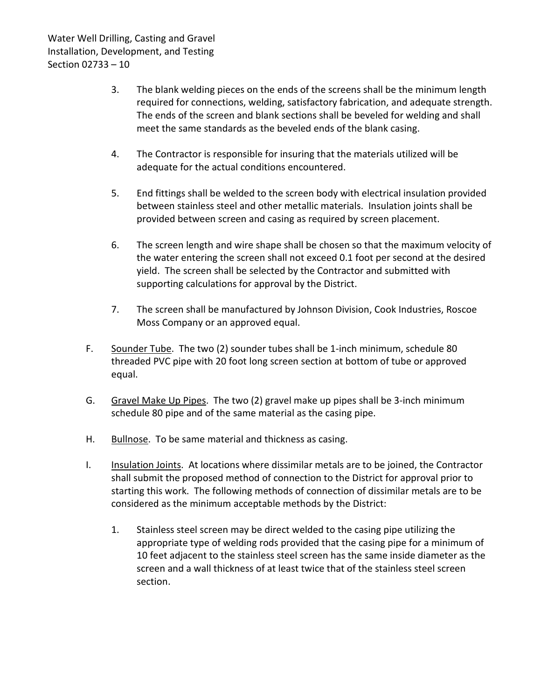- 3. The blank welding pieces on the ends of the screens shall be the minimum length required for connections, welding, satisfactory fabrication, and adequate strength. The ends of the screen and blank sections shall be beveled for welding and shall meet the same standards as the beveled ends of the blank casing.
- 4. The Contractor is responsible for insuring that the materials utilized will be adequate for the actual conditions encountered.
- 5. End fittings shall be welded to the screen body with electrical insulation provided between stainless steel and other metallic materials. Insulation joints shall be provided between screen and casing as required by screen placement.
- 6. The screen length and wire shape shall be chosen so that the maximum velocity of the water entering the screen shall not exceed 0.1 foot per second at the desired yield. The screen shall be selected by the Contractor and submitted with supporting calculations for approval by the District.
- 7. The screen shall be manufactured by Johnson Division, Cook Industries, Roscoe Moss Company or an approved equal.
- F. Sounder Tube. The two (2) sounder tubes shall be 1-inch minimum, schedule 80 threaded PVC pipe with 20 foot long screen section at bottom of tube or approved equal.
- G. Gravel Make Up Pipes. The two (2) gravel make up pipes shall be 3-inch minimum schedule 80 pipe and of the same material as the casing pipe.
- H. Bullnose. To be same material and thickness as casing.
- I. Insulation Joints. At locations where dissimilar metals are to be joined, the Contractor shall submit the proposed method of connection to the District for approval prior to starting this work. The following methods of connection of dissimilar metals are to be considered as the minimum acceptable methods by the District:
	- 1. Stainless steel screen may be direct welded to the casing pipe utilizing the appropriate type of welding rods provided that the casing pipe for a minimum of 10 feet adjacent to the stainless steel screen has the same inside diameter as the screen and a wall thickness of at least twice that of the stainless steel screen section.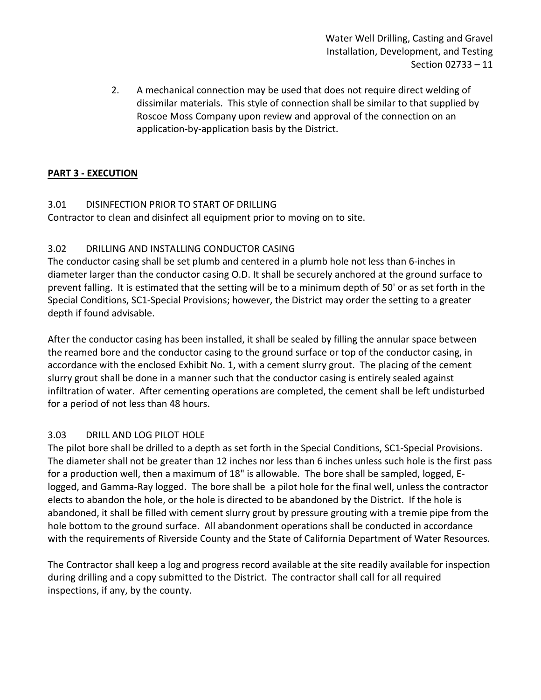2. A mechanical connection may be used that does not require direct welding of dissimilar materials. This style of connection shall be similar to that supplied by Roscoe Moss Company upon review and approval of the connection on an application-by-application basis by the District.

## <span id="page-12-0"></span>**PART 3 - EXECUTION**

## <span id="page-12-1"></span>3.01 DISINFECTION PRIOR TO START OF DRILLING

Contractor to clean and disinfect all equipment prior to moving on to site.

## <span id="page-12-2"></span>3.02 DRILLING AND INSTALLING CONDUCTOR CASING

The conductor casing shall be set plumb and centered in a plumb hole not less than 6-inches in diameter larger than the conductor casing O.D. It shall be securely anchored at the ground surface to prevent falling. It is estimated that the setting will be to a minimum depth of 50' or as set forth in the Special Conditions, SC1-Special Provisions; however, the District may order the setting to a greater depth if found advisable.

After the conductor casing has been installed, it shall be sealed by filling the annular space between the reamed bore and the conductor casing to the ground surface or top of the conductor casing, in accordance with the enclosed Exhibit No. 1, with a cement slurry grout. The placing of the cement slurry grout shall be done in a manner such that the conductor casing is entirely sealed against infiltration of water. After cementing operations are completed, the cement shall be left undisturbed for a period of not less than 48 hours.

## <span id="page-12-3"></span>3.03 DRILL AND LOG PILOT HOLE

The pilot bore shall be drilled to a depth as set forth in the Special Conditions, SC1-Special Provisions. The diameter shall not be greater than 12 inches nor less than 6 inches unless such hole is the first pass for a production well, then a maximum of 18" is allowable. The bore shall be sampled, logged, Elogged, and Gamma-Ray logged. The bore shall be a pilot hole for the final well, unless the contractor elects to abandon the hole, or the hole is directed to be abandoned by the District. If the hole is abandoned, it shall be filled with cement slurry grout by pressure grouting with a tremie pipe from the hole bottom to the ground surface. All abandonment operations shall be conducted in accordance with the requirements of Riverside County and the State of California Department of Water Resources.

The Contractor shall keep a log and progress record available at the site readily available for inspection during drilling and a copy submitted to the District. The contractor shall call for all required inspections, if any, by the county.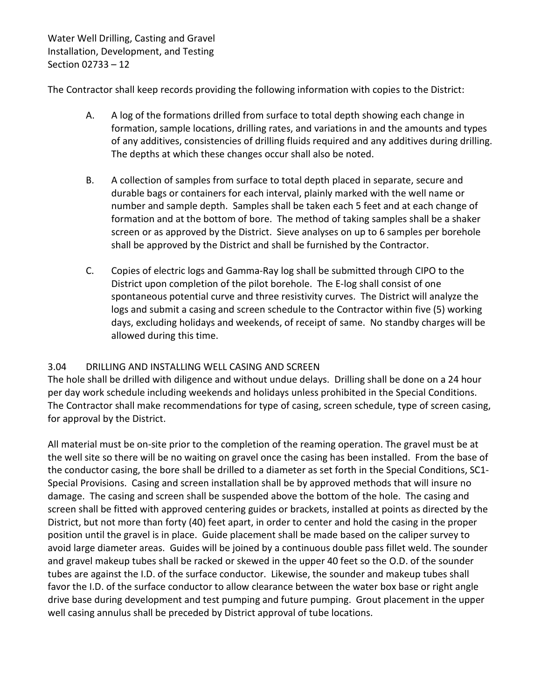The Contractor shall keep records providing the following information with copies to the District:

- A. A log of the formations drilled from surface to total depth showing each change in formation, sample locations, drilling rates, and variations in and the amounts and types of any additives, consistencies of drilling fluids required and any additives during drilling. The depths at which these changes occur shall also be noted.
- B. A collection of samples from surface to total depth placed in separate, secure and durable bags or containers for each interval, plainly marked with the well name or number and sample depth. Samples shall be taken each 5 feet and at each change of formation and at the bottom of bore. The method of taking samples shall be a shaker screen or as approved by the District. Sieve analyses on up to 6 samples per borehole shall be approved by the District and shall be furnished by the Contractor.
- C. Copies of electric logs and Gamma-Ray log shall be submitted through CIPO to the District upon completion of the pilot borehole. The E-log shall consist of one spontaneous potential curve and three resistivity curves. The District will analyze the logs and submit a casing and screen schedule to the Contractor within five (5) working days, excluding holidays and weekends, of receipt of same. No standby charges will be allowed during this time.

## <span id="page-13-0"></span>3.04 DRILLING AND INSTALLING WELL CASING AND SCREEN

The hole shall be drilled with diligence and without undue delays. Drilling shall be done on a 24 hour per day work schedule including weekends and holidays unless prohibited in the Special Conditions. The Contractor shall make recommendations for type of casing, screen schedule, type of screen casing, for approval by the District.

All material must be on-site prior to the completion of the reaming operation. The gravel must be at the well site so there will be no waiting on gravel once the casing has been installed. From the base of the conductor casing, the bore shall be drilled to a diameter as set forth in the Special Conditions, SC1- Special Provisions. Casing and screen installation shall be by approved methods that will insure no damage. The casing and screen shall be suspended above the bottom of the hole. The casing and screen shall be fitted with approved centering guides or brackets, installed at points as directed by the District, but not more than forty (40) feet apart, in order to center and hold the casing in the proper position until the gravel is in place. Guide placement shall be made based on the caliper survey to avoid large diameter areas. Guides will be joined by a continuous double pass fillet weld. The sounder and gravel makeup tubes shall be racked or skewed in the upper 40 feet so the O.D. of the sounder tubes are against the I.D. of the surface conductor. Likewise, the sounder and makeup tubes shall favor the I.D. of the surface conductor to allow clearance between the water box base or right angle drive base during development and test pumping and future pumping. Grout placement in the upper well casing annulus shall be preceded by District approval of tube locations.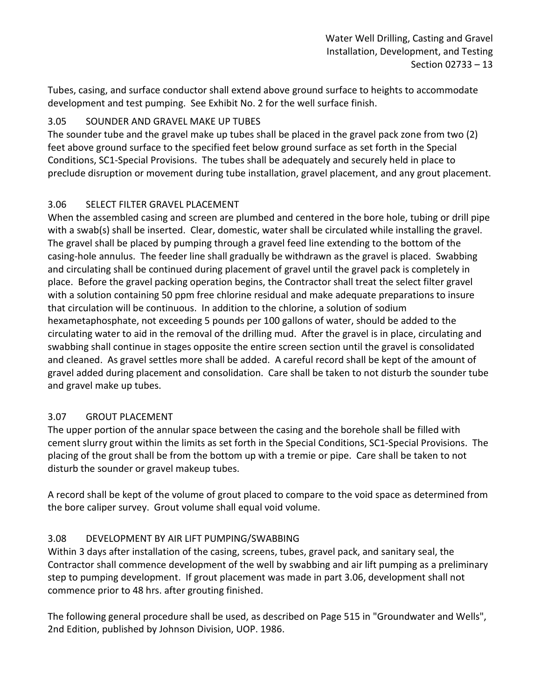Tubes, casing, and surface conductor shall extend above ground surface to heights to accommodate development and test pumping. See Exhibit No. 2 for the well surface finish.

## <span id="page-14-0"></span>3.05 SOUNDER AND GRAVEL MAKE UP TUBES

The sounder tube and the gravel make up tubes shall be placed in the gravel pack zone from two (2) feet above ground surface to the specified feet below ground surface as set forth in the Special Conditions, SC1-Special Provisions. The tubes shall be adequately and securely held in place to preclude disruption or movement during tube installation, gravel placement, and any grout placement.

## <span id="page-14-1"></span>3.06 SELECT FILTER GRAVEL PLACEMENT

When the assembled casing and screen are plumbed and centered in the bore hole, tubing or drill pipe with a swab(s) shall be inserted. Clear, domestic, water shall be circulated while installing the gravel. The gravel shall be placed by pumping through a gravel feed line extending to the bottom of the casing-hole annulus. The feeder line shall gradually be withdrawn as the gravel is placed. Swabbing and circulating shall be continued during placement of gravel until the gravel pack is completely in place. Before the gravel packing operation begins, the Contractor shall treat the select filter gravel with a solution containing 50 ppm free chlorine residual and make adequate preparations to insure that circulation will be continuous. In addition to the chlorine, a solution of sodium hexametaphosphate, not exceeding 5 pounds per 100 gallons of water, should be added to the circulating water to aid in the removal of the drilling mud. After the gravel is in place, circulating and swabbing shall continue in stages opposite the entire screen section until the gravel is consolidated and cleaned. As gravel settles more shall be added. A careful record shall be kept of the amount of gravel added during placement and consolidation. Care shall be taken to not disturb the sounder tube and gravel make up tubes.

# <span id="page-14-2"></span>3.07 GROUT PLACEMENT

The upper portion of the annular space between the casing and the borehole shall be filled with cement slurry grout within the limits as set forth in the Special Conditions, SC1-Special Provisions. The placing of the grout shall be from the bottom up with a tremie or pipe. Care shall be taken to not disturb the sounder or gravel makeup tubes.

A record shall be kept of the volume of grout placed to compare to the void space as determined from the bore caliper survey. Grout volume shall equal void volume.

# <span id="page-14-3"></span>3.08 DEVELOPMENT BY AIR LIFT PUMPING/SWABBING

Within 3 days after installation of the casing, screens, tubes, gravel pack, and sanitary seal, the Contractor shall commence development of the well by swabbing and air lift pumping as a preliminary step to pumping development. If grout placement was made in part 3.06, development shall not commence prior to 48 hrs. after grouting finished.

The following general procedure shall be used, as described on Page 515 in "Groundwater and Wells", 2nd Edition, published by Johnson Division, UOP. 1986.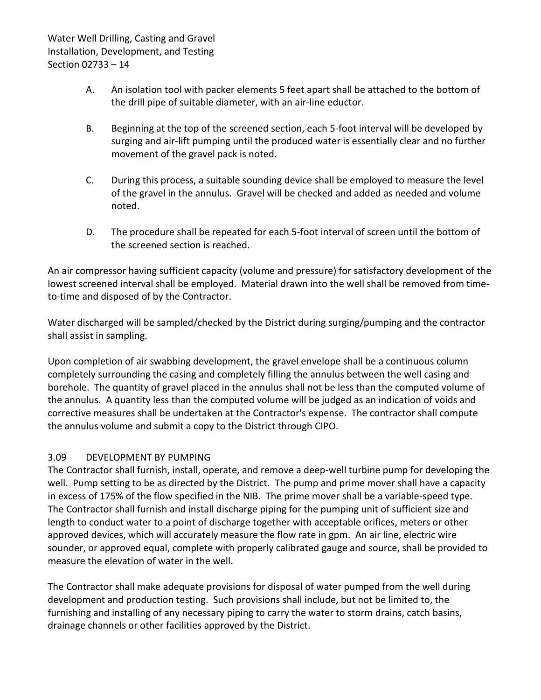- A. An isolation tool with packer elements 5 feet apart shall be attached to the bottom of the drill pipe of suitable diameter, with an air-line eductor.
- B. Beginning at the top of the screened section, each 5-foot interval will be developed by surging and air-lift pumping until the produced water is essentially clear and no further movement of the gravel pack is noted.
- C. During this process, a suitable sounding device shall be employed to measure the level of the gravel in the annulus. Gravel will be checked and added as needed and volume noted.
- D. The procedure shall be repeated for each 5-foot interval of screen until the bottom of the screened section is reached.

An air compressor having sufficient capacity (volume and pressure) for satisfactory development of the lowest screened interval shall be employed. Material drawn into the well shall be removed from timeto-time and disposed of by the Contractor.

Water discharged will be sampled/checked by the District during surging/pumping and the contractor shall assist in sampling.

Upon completion of air swabbing development, the gravel envelope shall be a continuous column completely surrounding the casing and completely filling the annulus between the well casing and borehole. The quantity of gravel placed in the annulus shall not be less than the computed volume of the annulus. A quantity less than the computed volume will be judged as an indication of voids and corrective measures shall be undertaken at the Contractor's expense. The contractor shall compute the annulus volume and submit a copy to the District through CIPO.

## <span id="page-15-0"></span>3.09 DEVELOPMENT BY PUMPING

The Contractor shall furnish, install, operate, and remove a deep-well turbine pump for developing the well. Pump setting to be as directed by the District. The pump and prime mover shall have a capacity in excess of 175% of the flow specified in the NIB. The prime mover shall be a variable-speed type. The Contractor shall furnish and install discharge piping for the pumping unit of sufficient size and length to conduct water to a point of discharge together with acceptable orifices, meters or other approved devices, which will accurately measure the flow rate in gpm. An air line, electric wire sounder, or approved equal, complete with properly calibrated gauge and source, shall be provided to measure the elevation of water in the well.

The Contractor shall make adequate provisions for disposal of water pumped from the well during development and production testing. Such provisions shall include, but not be limited to, the furnishing and installing of any necessary piping to carry the water to storm drains, catch basins, drainage channels or other facilities approved by the District.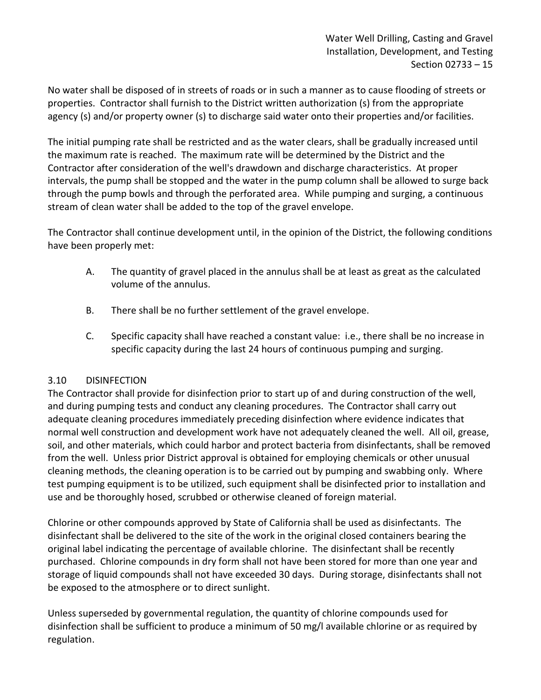No water shall be disposed of in streets of roads or in such a manner as to cause flooding of streets or properties. Contractor shall furnish to the District written authorization (s) from the appropriate agency (s) and/or property owner (s) to discharge said water onto their properties and/or facilities.

The initial pumping rate shall be restricted and as the water clears, shall be gradually increased until the maximum rate is reached. The maximum rate will be determined by the District and the Contractor after consideration of the well's drawdown and discharge characteristics. At proper intervals, the pump shall be stopped and the water in the pump column shall be allowed to surge back through the pump bowls and through the perforated area. While pumping and surging, a continuous stream of clean water shall be added to the top of the gravel envelope.

The Contractor shall continue development until, in the opinion of the District, the following conditions have been properly met:

- A. The quantity of gravel placed in the annulus shall be at least as great as the calculated volume of the annulus.
- B. There shall be no further settlement of the gravel envelope.
- C. Specific capacity shall have reached a constant value: i.e., there shall be no increase in specific capacity during the last 24 hours of continuous pumping and surging.

## <span id="page-16-0"></span>3.10 DISINFECTION

The Contractor shall provide for disinfection prior to start up of and during construction of the well, and during pumping tests and conduct any cleaning procedures. The Contractor shall carry out adequate cleaning procedures immediately preceding disinfection where evidence indicates that normal well construction and development work have not adequately cleaned the well. All oil, grease, soil, and other materials, which could harbor and protect bacteria from disinfectants, shall be removed from the well. Unless prior District approval is obtained for employing chemicals or other unusual cleaning methods, the cleaning operation is to be carried out by pumping and swabbing only. Where test pumping equipment is to be utilized, such equipment shall be disinfected prior to installation and use and be thoroughly hosed, scrubbed or otherwise cleaned of foreign material.

Chlorine or other compounds approved by State of California shall be used as disinfectants. The disinfectant shall be delivered to the site of the work in the original closed containers bearing the original label indicating the percentage of available chlorine. The disinfectant shall be recently purchased. Chlorine compounds in dry form shall not have been stored for more than one year and storage of liquid compounds shall not have exceeded 30 days. During storage, disinfectants shall not be exposed to the atmosphere or to direct sunlight.

Unless superseded by governmental regulation, the quantity of chlorine compounds used for disinfection shall be sufficient to produce a minimum of 50 mg/l available chlorine or as required by regulation.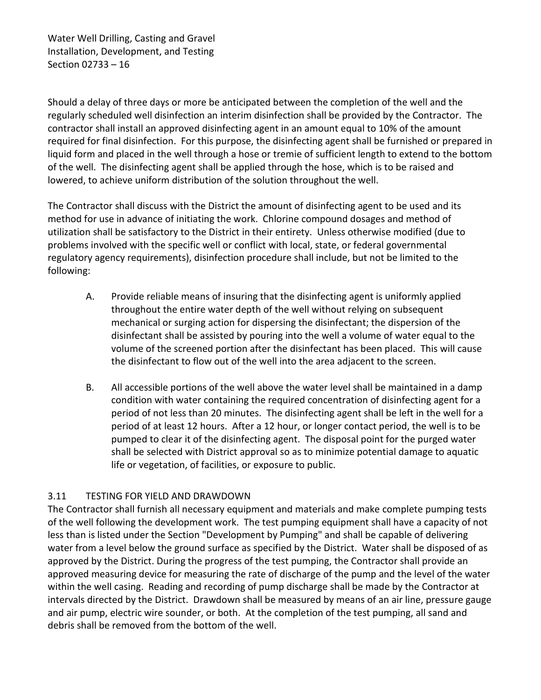Should a delay of three days or more be anticipated between the completion of the well and the regularly scheduled well disinfection an interim disinfection shall be provided by the Contractor. The contractor shall install an approved disinfecting agent in an amount equal to 10% of the amount required for final disinfection. For this purpose, the disinfecting agent shall be furnished or prepared in liquid form and placed in the well through a hose or tremie of sufficient length to extend to the bottom of the well. The disinfecting agent shall be applied through the hose, which is to be raised and lowered, to achieve uniform distribution of the solution throughout the well.

The Contractor shall discuss with the District the amount of disinfecting agent to be used and its method for use in advance of initiating the work. Chlorine compound dosages and method of utilization shall be satisfactory to the District in their entirety. Unless otherwise modified (due to problems involved with the specific well or conflict with local, state, or federal governmental regulatory agency requirements), disinfection procedure shall include, but not be limited to the following:

- A. Provide reliable means of insuring that the disinfecting agent is uniformly applied throughout the entire water depth of the well without relying on subsequent mechanical or surging action for dispersing the disinfectant; the dispersion of the disinfectant shall be assisted by pouring into the well a volume of water equal to the volume of the screened portion after the disinfectant has been placed. This will cause the disinfectant to flow out of the well into the area adjacent to the screen.
- B. All accessible portions of the well above the water level shall be maintained in a damp condition with water containing the required concentration of disinfecting agent for a period of not less than 20 minutes. The disinfecting agent shall be left in the well for a period of at least 12 hours. After a 12 hour, or longer contact period, the well is to be pumped to clear it of the disinfecting agent. The disposal point for the purged water shall be selected with District approval so as to minimize potential damage to aquatic life or vegetation, of facilities, or exposure to public.

## <span id="page-17-0"></span>3.11 TESTING FOR YIELD AND DRAWDOWN

The Contractor shall furnish all necessary equipment and materials and make complete pumping tests of the well following the development work. The test pumping equipment shall have a capacity of not less than is listed under the Section "Development by Pumping" and shall be capable of delivering water from a level below the ground surface as specified by the District. Water shall be disposed of as approved by the District. During the progress of the test pumping, the Contractor shall provide an approved measuring device for measuring the rate of discharge of the pump and the level of the water within the well casing. Reading and recording of pump discharge shall be made by the Contractor at intervals directed by the District. Drawdown shall be measured by means of an air line, pressure gauge and air pump, electric wire sounder, or both. At the completion of the test pumping, all sand and debris shall be removed from the bottom of the well.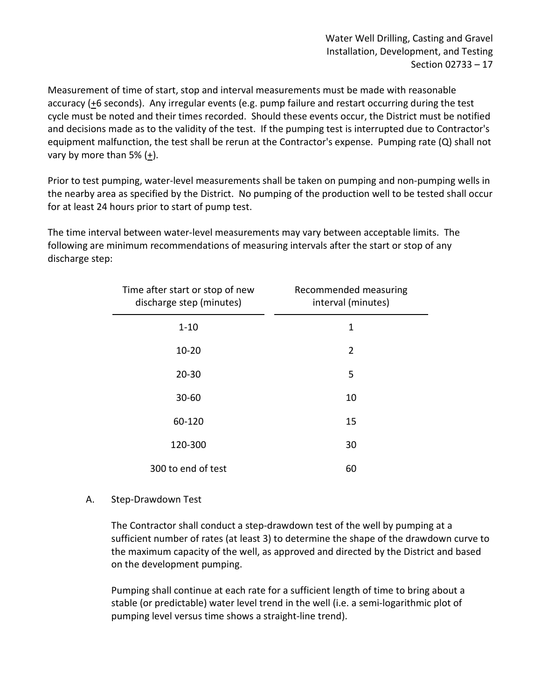Measurement of time of start, stop and interval measurements must be made with reasonable accuracy (+6 seconds). Any irregular events (e.g. pump failure and restart occurring during the test cycle must be noted and their times recorded. Should these events occur, the District must be notified and decisions made as to the validity of the test. If the pumping test is interrupted due to Contractor's equipment malfunction, the test shall be rerun at the Contractor's expense. Pumping rate (Q) shall not vary by more than 5%  $(\pm)$ .

Prior to test pumping, water-level measurements shall be taken on pumping and non-pumping wells in the nearby area as specified by the District. No pumping of the production well to be tested shall occur for at least 24 hours prior to start of pump test.

The time interval between water-level measurements may vary between acceptable limits. The following are minimum recommendations of measuring intervals after the start or stop of any discharge step:

| Time after start or stop of new<br>discharge step (minutes) | Recommended measuring<br>interval (minutes) |
|-------------------------------------------------------------|---------------------------------------------|
| $1 - 10$                                                    | 1                                           |
| $10 - 20$                                                   | 2                                           |
| $20 - 30$                                                   | 5                                           |
| 30-60                                                       | 10                                          |
| 60-120                                                      | 15                                          |
| 120-300                                                     | 30                                          |
| 300 to end of test                                          | 60                                          |

## A. Step-Drawdown Test

The Contractor shall conduct a step-drawdown test of the well by pumping at a sufficient number of rates (at least 3) to determine the shape of the drawdown curve to the maximum capacity of the well, as approved and directed by the District and based on the development pumping.

Pumping shall continue at each rate for a sufficient length of time to bring about a stable (or predictable) water level trend in the well (i.e. a semi-logarithmic plot of pumping level versus time shows a straight-line trend).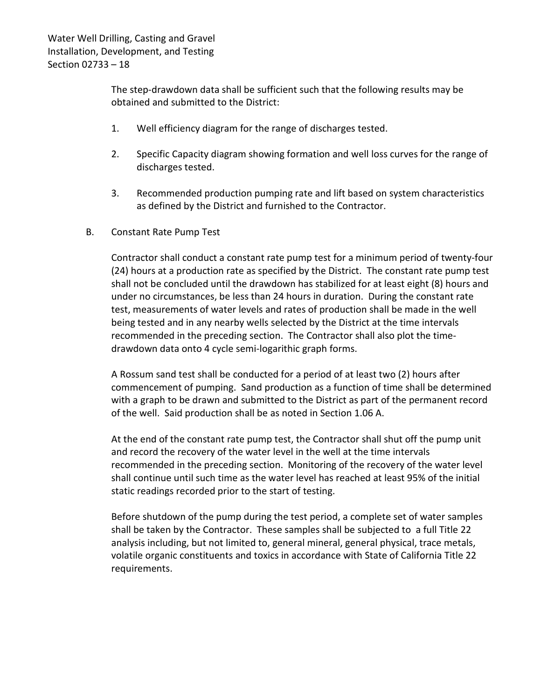The step-drawdown data shall be sufficient such that the following results may be obtained and submitted to the District:

- 1. Well efficiency diagram for the range of discharges tested.
- 2. Specific Capacity diagram showing formation and well loss curves for the range of discharges tested.
- 3. Recommended production pumping rate and lift based on system characteristics as defined by the District and furnished to the Contractor.
- B. Constant Rate Pump Test

Contractor shall conduct a constant rate pump test for a minimum period of twenty-four (24) hours at a production rate as specified by the District. The constant rate pump test shall not be concluded until the drawdown has stabilized for at least eight (8) hours and under no circumstances, be less than 24 hours in duration. During the constant rate test, measurements of water levels and rates of production shall be made in the well being tested and in any nearby wells selected by the District at the time intervals recommended in the preceding section. The Contractor shall also plot the timedrawdown data onto 4 cycle semi-logarithic graph forms.

A Rossum sand test shall be conducted for a period of at least two (2) hours after commencement of pumping. Sand production as a function of time shall be determined with a graph to be drawn and submitted to the District as part of the permanent record of the well. Said production shall be as noted in Section 1.06 A.

At the end of the constant rate pump test, the Contractor shall shut off the pump unit and record the recovery of the water level in the well at the time intervals recommended in the preceding section. Monitoring of the recovery of the water level shall continue until such time as the water level has reached at least 95% of the initial static readings recorded prior to the start of testing.

Before shutdown of the pump during the test period, a complete set of water samples shall be taken by the Contractor. These samples shall be subjected to a full Title 22 analysis including, but not limited to, general mineral, general physical, trace metals, volatile organic constituents and toxics in accordance with State of California Title 22 requirements.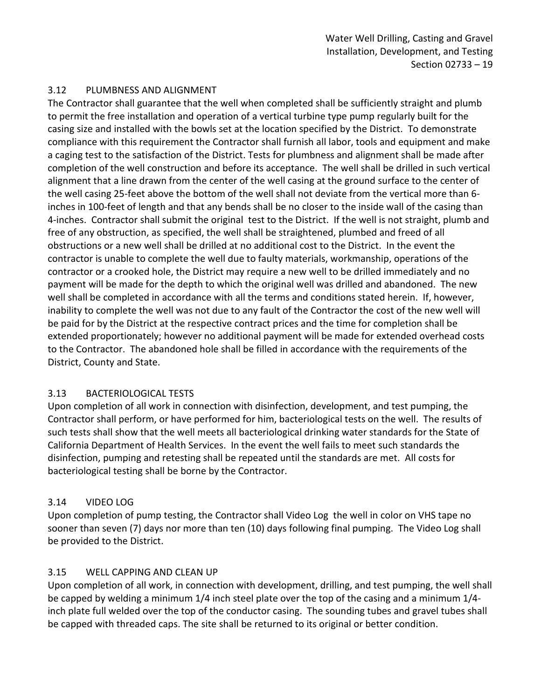## <span id="page-20-0"></span>3.12 PLUMBNESS AND ALIGNMENT

The Contractor shall guarantee that the well when completed shall be sufficiently straight and plumb to permit the free installation and operation of a vertical turbine type pump regularly built for the casing size and installed with the bowls set at the location specified by the District. To demonstrate compliance with this requirement the Contractor shall furnish all labor, tools and equipment and make a caging test to the satisfaction of the District. Tests for plumbness and alignment shall be made after completion of the well construction and before its acceptance. The well shall be drilled in such vertical alignment that a line drawn from the center of the well casing at the ground surface to the center of the well casing 25-feet above the bottom of the well shall not deviate from the vertical more than 6 inches in 100-feet of length and that any bends shall be no closer to the inside wall of the casing than 4-inches. Contractor shall submit the original test to the District. If the well is not straight, plumb and free of any obstruction, as specified, the well shall be straightened, plumbed and freed of all obstructions or a new well shall be drilled at no additional cost to the District. In the event the contractor is unable to complete the well due to faulty materials, workmanship, operations of the contractor or a crooked hole, the District may require a new well to be drilled immediately and no payment will be made for the depth to which the original well was drilled and abandoned. The new well shall be completed in accordance with all the terms and conditions stated herein. If, however, inability to complete the well was not due to any fault of the Contractor the cost of the new well will be paid for by the District at the respective contract prices and the time for completion shall be extended proportionately; however no additional payment will be made for extended overhead costs to the Contractor. The abandoned hole shall be filled in accordance with the requirements of the District, County and State.

#### <span id="page-20-1"></span>3.13 BACTERIOLOGICAL TESTS

Upon completion of all work in connection with disinfection, development, and test pumping, the Contractor shall perform, or have performed for him, bacteriological tests on the well. The results of such tests shall show that the well meets all bacteriological drinking water standards for the State of California Department of Health Services. In the event the well fails to meet such standards the disinfection, pumping and retesting shall be repeated until the standards are met. All costs for bacteriological testing shall be borne by the Contractor.

## <span id="page-20-2"></span>3.14 VIDEO LOG

Upon completion of pump testing, the Contractor shall Video Log the well in color on VHS tape no sooner than seven (7) days nor more than ten (10) days following final pumping. The Video Log shall be provided to the District.

## <span id="page-20-3"></span>3.15 WELL CAPPING AND CLEAN UP

Upon completion of all work, in connection with development, drilling, and test pumping, the well shall be capped by welding a minimum 1/4 inch steel plate over the top of the casing and a minimum 1/4 inch plate full welded over the top of the conductor casing. The sounding tubes and gravel tubes shall be capped with threaded caps. The site shall be returned to its original or better condition.